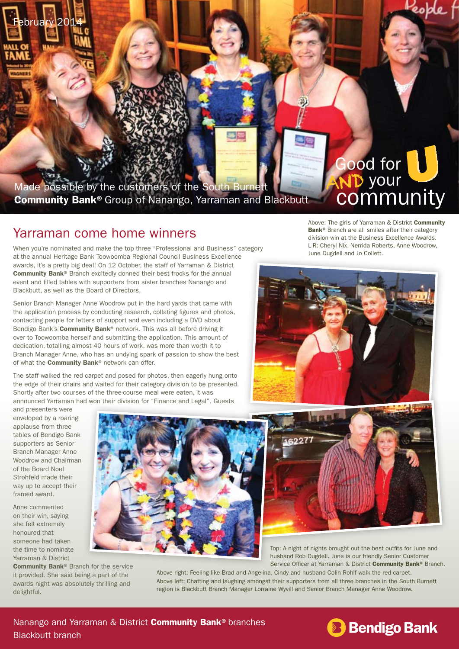Made possible by the customers of the South Burnett Community Bank®Group of Nanango, Yarraman and Blackbutt

## Yarraman come home winners

When you're nominated and make the top three "Professional and Business" category at the annual Heritage Bank Toowoomba Regional Council Business Excellence awards, it's a pretty big deal! On 12 October, the staff of Yarraman & District Community Bank® Branch excitedly donned their best frocks for the annual event and filled tables with supporters from sister branches Nanango and Blackbutt, as well as the Board of Directors.

Senior Branch Manager Anne Woodrow put in the hard yards that came with the application process by conducting research, collating figures and photos, contacting people for letters of support and even including a DVD about Bendigo Bank's **Community Bank®** network. This was all before driving it over to Toowoomba herself and submitting the application. This amount of dedication, totalling almost 40 hours of work, was more than worth it to Branch Manager Anne, who has an undying spark of passion to show the best of what the **Community Bank®** network can offer.

The staff walked the red carpet and posed for photos, then eagerly hung onto the edge of their chairs and waited for their category division to be presented. Shortly after two courses of the three-course meal were eaten, it was announced Yarraman had won their division for "Finance and Legal". Guests

Above: The girls of Yarraman & District Community Bank<sup>®</sup> Branch are all smiles after their category division win at the Business Excellence Awards. L-R: Cheryl Nix, Nerrida Roberts, Anne Woodrow, June Dugdell and Jo Collett.

Good for

your

**community** 

People f



and presenters were enveloped by a roaring applause from three tables of Bendigo Bank supporters as Senior Branch Manager Anne Woodrow and Chairman of the Board Noel Strohfeld made their way up to accept their framed award.

February 2014

Anne commented on their win, saying she felt extremely honoured that someone had taken the time to nominate Yarraman & District

Community Bank® Branch for the service it provided. She said being a part of the awards night was absolutely thrilling and delightful.





Top: A night of nights brought out the best outfits for June and husband Rob Dugdell. June is our friendly Senior Customer Service Officer at Yarraman & District Community Bank® Branch.

Above right: Feeling like Brad and Angelina, Cindy and husband Colin Rohlf walk the red carpet. Above left: Chatting and laughing amongst their supporters from all three branches in the South Burnett region is Blackbutt Branch Manager Lorraine Wyvill and Senior Branch Manager Anne Woodrow.

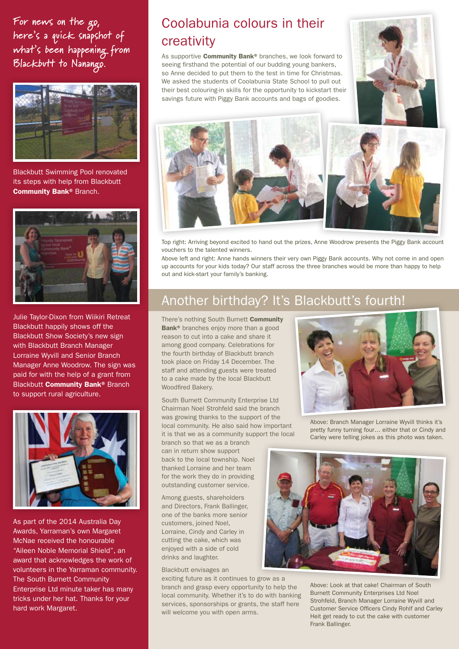**For news on the go, here's a quick snapshot of what's been happening from Blackbutt to Nanango.**



Blackbutt Swimming Pool renovated its steps with help from Blackbutt Community Bank® Branch.



Julie Taylor-Dixon from Wiikiri Retreat Blackbutt happily shows off the Blackbutt Show Society's new sign with Blackbutt Branch Manager Lorraine Wyvill and Senior Branch Manager Anne Woodrow. The sign was paid for with the help of a grant from Blackbutt **Community Bank®** Branch to support rural agriculture.



As part of the 2014 Australia Day Awards, Yarraman's own Margaret McNae received the honourable "Aileen Noble Memorial Shield", an award that acknowledges the work of volunteers in the Yarraman community. The South Burnett Community Enterprise Ltd minute taker has many tricks under her hat. Thanks for your hard work Margaret.

# Coolabunia colours in their creativity

As supportive **Community Bank®** branches, we look forward to seeing firsthand the potential of our budding young bankers, so Anne decided to put them to the test in time for Christmas. We asked the students of Coolabunia State School to pull out their best colouring-in skills for the opportunity to kickstart their savings future with Piggy Bank accounts and bags of goodies.





Top right: Arriving beyond excited to hand out the prizes, Anne Woodrow presents the Piggy Bank account vouchers to the talented winners.

Above left and right: Anne hands winners their very own Piggy Bank accounts. Why not come in and open up accounts for your kids today? Our staff across the three branches would be more than happy to help out and kick-start your family's banking.

## Another birthday? It's Blackbutt's fourth!

There's nothing South Burnett Community Bank<sup>®</sup> branches enjoy more than a good reason to cut into a cake and share it among good company. Celebrations for the fourth birthday of Blackbutt branch took place on Friday 14 December. The staff and attending guests were treated to a cake made by the local Blackbutt Woodfired Bakery.

South Burnett Community Enterprise Ltd Chairman Noel Strohfeld said the branch was growing thanks to the support of the local community. He also said how important it is that we as a community support the local

branch so that we as a branch can in return show support back to the local township. Noel thanked Lorraine and her team for the work they do in providing outstanding customer service.

Among guests, shareholders and Directors, Frank Ballinger, one of the banks more senior customers, joined Noel, Lorraine, Cindy and Carley in cutting the cake, which was enjoyed with a side of cold drinks and laughter.

#### Blackbutt envisages an

exciting future as it continues to grow as a branch and grasp every opportunity to help the local community. Whether it's to do with banking services, sponsorships or grants, the staff here will welcome you with open arms.



Above: Branch Manager Lorraine Wyvill thinks it's pretty funny turning four… either that or Cindy and Carley were telling jokes as this photo was taken.



Above: Look at that cake! Chairman of South Burnett Community Enterprises Ltd Noel Strohfeld, Branch Manager Lorraine Wyvill and Customer Service Officers Cindy Rohlf and Carley Heit get ready to cut the cake with customer Frank Ballinger.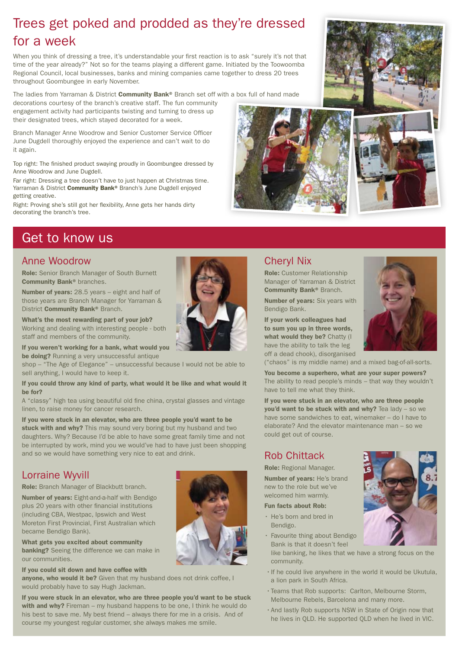## Trees get poked and prodded as they're dressed for a week

When you think of dressing a tree, it's understandable your first reaction is to ask "surely it's not that time of the year already?" Not so for the teams playing a different game. Initiated by the Toowoomba Regional Council, local businesses, banks and mining companies came together to dress 20 trees throughout Goombungee in early November.

The ladies from Yarraman & District Community Bank® Branch set off with a box full of hand made

decorations courtesy of the branch's creative staff. The fun community engagement activity had participants twisting and turning to dress up their designated trees, which stayed decorated for a week.

Branch Manager Anne Woodrow and Senior Customer Service Officer June Dugdell thoroughly enjoyed the experience and can't wait to do it again.

Top right: The finished product swaying proudly in Goombungee dressed by Anne Woodrow and June Dugdell.

Far right: Dressing a tree doesn't have to just happen at Christmas time. Yarraman & District Community Bank® Branch's June Dugdell enjoyed getting creative.

Right: Proving she's still got her flexibility, Anne gets her hands dirty decorating the branch's tree.

## Get to know us

### Anne Woodrow

Role: Senior Branch Manager of South Burnett Community Bank® branches.

Number of years: 28.5 years – eight and half of those years are Branch Manager for Yarraman & District **Community Bank®** Branch.

What's the most rewarding part of your job? Working and dealing with interesting people - both staff and members of the community.

If you weren't working for a bank, what would you be doing? Running a very unsuccessful antique

shop – "The Age of Elegance" – unsuccessful because I would not be able to sell anything, I would have to keep it.

If you could throw any kind of party, what would it be like and what would it be for?

A "classy" high tea using beautiful old fine china, crystal glasses and vintage linen, to raise money for cancer research.

If you were stuck in an elevator, who are three people you'd want to be stuck with and why? This may sound very boring but my husband and two daughters. Why? Because I'd be able to have some great family time and not be interrupted by work, mind you we would've had to have just been shopping and so we would have something very nice to eat and drink.

## Lorraine Wyvill

Role: Branch Manager of Blackbutt branch.

Number of years: Eight-and-a-half with Bendigo plus 20 years with other financial institutions (including CBA, Westpac, Ipswich and West Moreton First Provincial, First Australian which became Bendigo Bank).

What gets you excited about community **banking?** Seeing the difference we can make in our communities.

If you could sit down and have coffee with anyone, who would it be? Given that my husband does not drink coffee, I would probably have to say Hugh Jackman.

If you were stuck in an elevator, who are three people you'd want to be stuck with and why? Fireman – my husband happens to be one. I think he would do his best to save me. My best friend – always there for me in a crisis. And of course my youngest regular customer, she always makes me smile.



Role: Customer Relationship Manager of Yarraman & District Community Bank® Branch.

Number of years: Six years with Bendigo Bank.

If your work colleagues had to sum you up in three words, what would they be? Chatty (I have the ability to talk the leg off a dead chook), disorganised

("chaos" is my middle name) and a mixed bag-of-all-sorts.

You become a superhero, what are your super powers? The ability to read people's minds – that way they wouldn't have to tell me what they think.

If you were stuck in an elevator, who are three people you'd want to be stuck with and why? Tea lady – so we have some sandwiches to eat, winemaker – do I have to elaborate? And the elevator maintenance man – so we could get out of course.

## Rob Chittack

Role: Regional Manager.

Number of years: He's brand new to the role but we've welcomed him warmly.

#### Fun facts about Rob:

- • He's born and bred in Bendigo.
- Favourite thing about Bendigo Bank is that it doesn't feel
	- like banking, he likes that we have a strong focus on the community.
- • If he could live anywhere in the world it would be Ukutula, a lion park in South Africa.
- • Teams that Rob supports: Carlton, Melbourne Storm, Melbourne Rebels, Barcelona and many more.
- • And lastly Rob supports NSW in State of Origin now that he lives in QLD. He supported QLD when he lived in VIC.